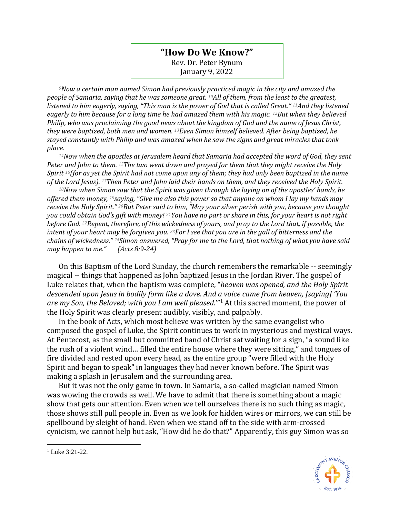## **"How Do We Know?"** Rev. Dr. Peter Bynum January 9, 2022

*<sup>9</sup>Now a certain man named Simon had previously practiced magic in the city and amazed the people of Samaria, saying that he was someone great. 10All of them, from the least to the greatest, listened to him eagerly, saying, "This man is the power of God that is called Great." 11And they listened eagerly to him because for a long time he had amazed them with his magic. 12But when they believed Philip, who was proclaiming the good news about the kingdom of God and the name of Jesus Christ, they were baptized, both men and women. 13Even Simon himself believed. After being baptized, he stayed constantly with Philip and was amazed when he saw the signs and great miracles that took place.* 

*<sup>14</sup>Now when the apostles at Jerusalem heard that Samaria had accepted the word of God, they sent Peter and John to them. 15The two went down and prayed for them that they might receive the Holy Spirit 16(for as yet the Spirit had not come upon any of them; they had only been baptized in the name of the Lord Jesus). 17Then Peter and John laid their hands on them, and they received the Holy Spirit.* 

*<sup>18</sup>Now when Simon saw that the Spirit was given through the laying on of the apostles' hands, he offered them money, <sup>19</sup>saying, "Give me also this power so that anyone on whom I lay my hands may receive the Holy Spirit." 20But Peter said to him, "May your silver perish with you, because you thought you could obtain God's gift with money! 21You have no part or share in this, for your heart is not right before God. 22Repent, therefore, of this wickedness of yours, and pray to the Lord that, if possible, the intent of your heart may be forgiven you. 23For I see that you are in the gall of bitterness and the chains of wickedness." 24Simon answered, "Pray for me to the Lord, that nothing of what you have said may happen to me." (Acts 8:9-24)*

On this Baptism of the Lord Sunday, the church remembers the remarkable -- seemingly magical -- things that happened as John baptized Jesus in the Jordan River. The gospel of Luke relates that, when the baptism was complete, "*heaven was opened, and the Holy Spirit descended upon Jesus in bodily form like a dove. And a voice came from heaven, [saying] 'You are my Son, the Beloved; with you I am well pleased*.'" <sup>1</sup> At this sacred moment, the power of the Holy Spirit was clearly present audibly, visibly, and palpably.

In the book of Acts, which most believe was written by the same evangelist who composed the gospel of Luke, the Spirit continues to work in mysterious and mystical ways. At Pentecost, as the small but committed band of Christ sat waiting for a sign, "a sound like the rush of a violent wind… filled the entire house where they were sitting," and tongues of fire divided and rested upon every head, as the entire group "were filled with the Holy Spirit and began to speak" in languages they had never known before. The Spirit was making a splash in Jerusalem and the surrounding area.

But it was not the only game in town. In Samaria, a so-called magician named Simon was wowing the crowds as well. We have to admit that there is something about a magic show that gets our attention. Even when we tell ourselves there is no such thing as magic, those shows still pull people in. Even as we look for hidden wires or mirrors, we can still be spellbound by sleight of hand. Even when we stand off to the side with arm-crossed cynicism, we cannot help but ask, "How did he do that?" Apparently, this guy Simon was so



 $1$  Luke 3:21-22.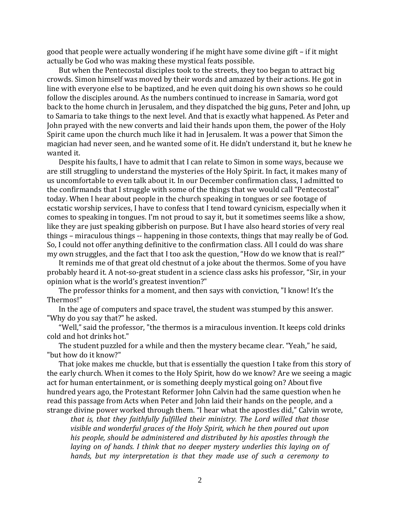good that people were actually wondering if he might have some divine gift – if it might actually be God who was making these mystical feats possible.

But when the Pentecostal disciples took to the streets, they too began to attract big crowds. Simon himself was moved by their words and amazed by their actions. He got in line with everyone else to be baptized, and he even quit doing his own shows so he could follow the disciples around. As the numbers continued to increase in Samaria, word got back to the home church in Jerusalem, and they dispatched the big guns, Peter and John, up to Samaria to take things to the next level. And that is exactly what happened. As Peter and John prayed with the new converts and laid their hands upon them, the power of the Holy Spirit came upon the church much like it had in Jerusalem. It was a power that Simon the magician had never seen, and he wanted some of it. He didn't understand it, but he knew he wanted it.

Despite his faults, I have to admit that I can relate to Simon in some ways, because we are still struggling to understand the mysteries of the Holy Spirit. In fact, it makes many of us uncomfortable to even talk about it. In our December confirmation class, I admitted to the confirmands that I struggle with some of the things that we would call "Pentecostal" today. When I hear about people in the church speaking in tongues or see footage of ecstatic worship services, I have to confess that I tend toward cynicism, especially when it comes to speaking in tongues. I'm not proud to say it, but it sometimes seems like a show, like they are just speaking gibberish on purpose. But I have also heard stories of very real things – miraculous things -- happening in those contexts, things that may really be of God. So, I could not offer anything definitive to the confirmation class. All I could do was share my own struggles, and the fact that I too ask the question, "How do we know that is real?"

It reminds me of that great old chestnut of a joke about the thermos. Some of you have probably heard it. A not-so-great student in a science class asks his professor, "Sir, in your opinion what is the world's greatest invention?"

The professor thinks for a moment, and then says with conviction, "I know! It's the Thermos!"

In the age of computers and space travel, the student was stumped by this answer. "Why do you say that?" he asked.

"Well," said the professor, "the thermos is a miraculous invention. It keeps cold drinks cold and hot drinks hot."

The student puzzled for a while and then the mystery became clear. "Yeah," he said, "but how do it know?"

That joke makes me chuckle, but that is essentially the question I take from this story of the early church. When it comes to the Holy Spirit, how do we know? Are we seeing a magic act for human entertainment, or is something deeply mystical going on? About five hundred years ago, the Protestant Reformer John Calvin had the same question when he read this passage from Acts when Peter and John laid their hands on the people, and a strange divine power worked through them. "I hear what the apostles did," Calvin wrote,

*that is, that they faithfully fulfilled their ministry. The Lord willed that those visible and wonderful graces of the Holy Spirit, which he then poured out upon his people, should be administered and distributed by his apostles through the laying on of hands. I think that no deeper mystery underlies this laying on of hands, but my interpretation is that they made use of such a ceremony to*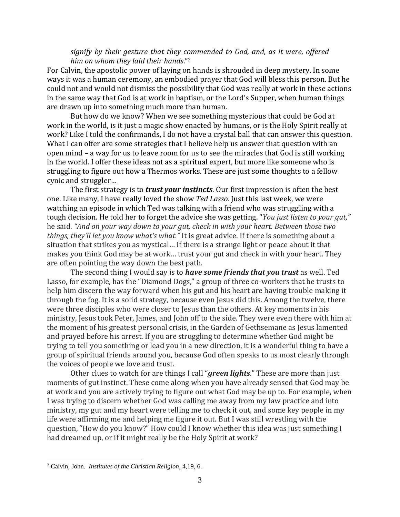## *signify by their gesture that they commended to God, and, as it were, offered him on whom they laid their hands*."<sup>2</sup>

For Calvin, the apostolic power of laying on hands is shrouded in deep mystery. In some ways it was a human ceremony, an embodied prayer that God will bless this person. But he could not and would not dismiss the possibility that God was really at work in these actions in the same way that God is at work in baptism, or the Lord's Supper, when human things are drawn up into something much more than human.

But how do we know? When we see something mysterious that could be God at work in the world, is it just a magic show enacted by humans, or is the Holy Spirit really at work? Like I told the confirmands, I do not have a crystal ball that can answer this question. What I can offer are some strategies that I believe help us answer that question with an open mind – a way for us to leave room for us to see the miracles that God is still working in the world. I offer these ideas not as a spiritual expert, but more like someone who is struggling to figure out how a Thermos works. These are just some thoughts to a fellow cynic and struggler…

The first strategy is to *trust your instincts*. Our first impression is often the best one. Like many, I have really loved the show *Ted Lasso*. Just this last week, we were watching an episode in which Ted was talking with a friend who was struggling with a tough decision. He told her to forget the advice she was getting. "*You just listen to your gut,"*  he said. *"And on your way down to your gut, check in with your heart. Between those two things, they'll let you know what's what."* It is great advice. If there is something about a situation that strikes you as mystical… if there is a strange light or peace about it that makes you think God may be at work… trust your gut and check in with your heart. They are often pointing the way down the best path.

The second thing I would say is to *have some friends that you trust* as well. Ted Lasso, for example, has the "Diamond Dogs," a group of three co-workers that he trusts to help him discern the way forward when his gut and his heart are having trouble making it through the fog. It is a solid strategy, because even Jesus did this. Among the twelve, there were three disciples who were closer to Jesus than the others. At key moments in his ministry, Jesus took Peter, James, and John off to the side. They were even there with him at the moment of his greatest personal crisis, in the Garden of Gethsemane as Jesus lamented and prayed before his arrest. If you are struggling to determine whether God might be trying to tell you something or lead you in a new direction, it is a wonderful thing to have a group of spiritual friends around you, because God often speaks to us most clearly through the voices of people we love and trust.

Other clues to watch for are things I call "*green lights*." These are more than just moments of gut instinct. These come along when you have already sensed that God may be at work and you are actively trying to figure out what God may be up to. For example, when I was trying to discern whether God was calling me away from my law practice and into ministry, my gut and my heart were telling me to check it out, and some key people in my life were affirming me and helping me figure it out. But I was still wrestling with the question, "How do you know?" How could I know whether this idea was just something I had dreamed up, or if it might really be the Holy Spirit at work?

<sup>2</sup> Calvin, John. *Institutes of the Christian Religion*, 4,19, 6.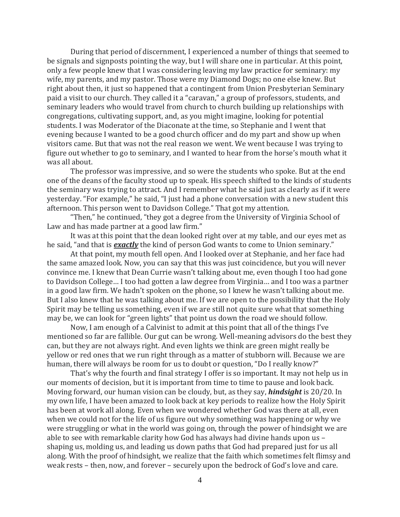During that period of discernment, I experienced a number of things that seemed to be signals and signposts pointing the way, but I will share one in particular. At this point, only a few people knew that I was considering leaving my law practice for seminary: my wife, my parents, and my pastor. Those were my Diamond Dogs; no one else knew. But right about then, it just so happened that a contingent from Union Presbyterian Seminary paid a visit to our church. They called it a "caravan," a group of professors, students, and seminary leaders who would travel from church to church building up relationships with congregations, cultivating support, and, as you might imagine, looking for potential students. I was Moderator of the Diaconate at the time, so Stephanie and I went that evening because I wanted to be a good church officer and do my part and show up when visitors came. But that was not the real reason we went. We went because I was trying to figure out whether to go to seminary, and I wanted to hear from the horse's mouth what it was all about.

The professor was impressive, and so were the students who spoke. But at the end one of the deans of the faculty stood up to speak. His speech shifted to the kinds of students the seminary was trying to attract. And I remember what he said just as clearly as if it were yesterday. "For example," he said, "I just had a phone conversation with a new student this afternoon. This person went to Davidson College." That got my attention.

"Then," he continued, "they got a degree from the University of Virginia School of Law and has made partner at a good law firm."

It was at this point that the dean looked right over at my table, and our eyes met as he said, "and that is *exactly* the kind of person God wants to come to Union seminary."

At that point, my mouth fell open. And I looked over at Stephanie, and her face had the same amazed look. Now, you can say that this was just coincidence, but you will never convince me. I knew that Dean Currie wasn't talking about me, even though I too had gone to Davidson College… I too had gotten a law degree from Virginia… and I too was a partner in a good law firm. We hadn't spoken on the phone, so I knew he wasn't talking about me. But I also knew that he was talking about me. If we are open to the possibility that the Holy Spirit may be telling us something, even if we are still not quite sure what that something may be, we can look for "green lights" that point us down the road we should follow.

Now, I am enough of a Calvinist to admit at this point that all of the things I've mentioned so far are fallible. Our gut can be wrong. Well-meaning advisors do the best they can, but they are not always right. And even lights we think are green might really be yellow or red ones that we run right through as a matter of stubborn will. Because we are human, there will always be room for us to doubt or question, "Do I really know?"

That's why the fourth and final strategy I offer is so important. It may not help us in our moments of decision, but it is important from time to time to pause and look back. Moving forward, our human vision can be cloudy, but, as they say, *hindsight* is 20/20. In my own life, I have been amazed to look back at key periods to realize how the Holy Spirit has been at work all along. Even when we wondered whether God was there at all, even when we could not for the life of us figure out why something was happening or why we were struggling or what in the world was going on, through the power of hindsight we are able to see with remarkable clarity how God has always had divine hands upon us – shaping us, molding us, and leading us down paths that God had prepared just for us all along. With the proof of hindsight, we realize that the faith which sometimes felt flimsy and weak rests – then, now, and forever – securely upon the bedrock of God's love and care.